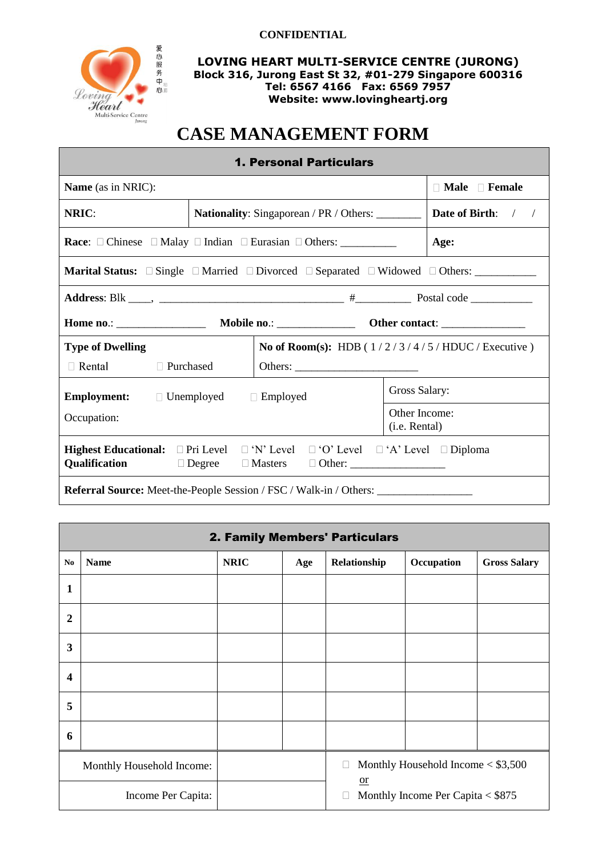

**LOVING HEART MULTI-SERVICE CENTRE (JURONG) Block 316, Jurong East St 32, #01-279 Singapore 600316 Tel: 6567 4166 Fax: 6569 7957 Website: www.lovingheartj.org**

# **CASE MANAGEMENT FORM**

| <b>1. Personal Particulars</b>                                                                                 |                                                         |  |  |  |                                                  |  |
|----------------------------------------------------------------------------------------------------------------|---------------------------------------------------------|--|--|--|--------------------------------------------------|--|
| $\Box$ Male $\Box$ Female<br><b>Name</b> (as in NRIC):                                                         |                                                         |  |  |  |                                                  |  |
| NRIC:                                                                                                          | <b>Nationality:</b> Singaporean / PR / Others: ________ |  |  |  | <b>Date of Birth:</b> / /                        |  |
| <b>Race:</b> $\Box$ Chinese $\Box$ Malay $\Box$ Indian $\Box$ Eurasian $\Box$ Others: ___________              |                                                         |  |  |  | Age:                                             |  |
|                                                                                                                |                                                         |  |  |  |                                                  |  |
|                                                                                                                |                                                         |  |  |  |                                                  |  |
|                                                                                                                |                                                         |  |  |  |                                                  |  |
| <b>Type of Dwelling</b>                                                                                        |                                                         |  |  |  | No of Room(s): HDB $(1/2/3/4/5/HDUC/E$ xecutive) |  |
| $\Box$ Rental $\Box$ Purchased                                                                                 |                                                         |  |  |  |                                                  |  |
| <b>Employment:</b> Dimemployed Dimemployed                                                                     | Gross Salary:                                           |  |  |  |                                                  |  |
| Other Income:<br>Occupation:<br>(i.e. Rental)                                                                  |                                                         |  |  |  |                                                  |  |
| <b>Highest Educational:</b> $\Box$ Pri Level $\Box$ 'N' Level $\Box$ 'O' Level $\Box$ 'A' Level $\Box$ Diploma |                                                         |  |  |  |                                                  |  |
| Referral Source: Meet-the-People Session / FSC / Walk-in / Others: ______________                              |                                                         |  |  |  |                                                  |  |

| 2. Family Members' Particulars      |             |             |     |                                                |                                      |                     |  |
|-------------------------------------|-------------|-------------|-----|------------------------------------------------|--------------------------------------|---------------------|--|
| N <sub>0</sub>                      | <b>Name</b> | <b>NRIC</b> | Age | Relationship                                   | Occupation                           | <b>Gross Salary</b> |  |
| 1                                   |             |             |     |                                                |                                      |                     |  |
| $\boldsymbol{2}$                    |             |             |     |                                                |                                      |                     |  |
| 3                                   |             |             |     |                                                |                                      |                     |  |
| $\overline{\mathbf{4}}$             |             |             |     |                                                |                                      |                     |  |
| 5                                   |             |             |     |                                                |                                      |                     |  |
| 6                                   |             |             |     |                                                |                                      |                     |  |
| $\Box$<br>Monthly Household Income: |             |             |     |                                                | Monthly Household Income $<$ \$3,500 |                     |  |
| Income Per Capita:                  |             |             |     | $or$<br>Monthly Income Per Capita < \$875<br>E |                                      |                     |  |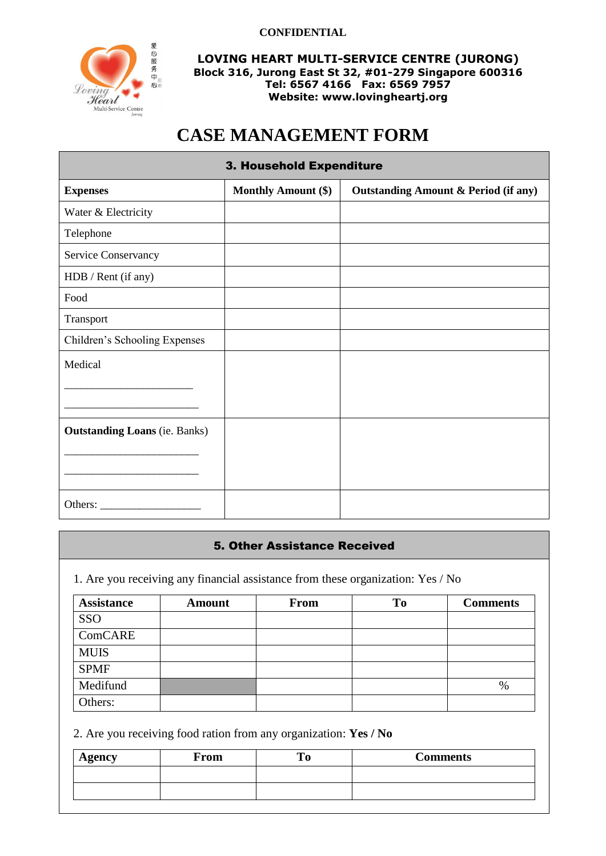

**LOVING HEART MULTI-SERVICE CENTRE (JURONG) Block 316, Jurong East St 32, #01-279 Singapore 600316 Tel: 6567 4166 Fax: 6569 7957 Website: www.lovingheartj.org**

## **CASE MANAGEMENT FORM**

| 3. Household Expenditure             |                            |                                                 |  |  |  |  |
|--------------------------------------|----------------------------|-------------------------------------------------|--|--|--|--|
| <b>Expenses</b>                      | <b>Monthly Amount (\$)</b> | <b>Outstanding Amount &amp; Period (if any)</b> |  |  |  |  |
| Water & Electricity                  |                            |                                                 |  |  |  |  |
| Telephone                            |                            |                                                 |  |  |  |  |
| Service Conservancy                  |                            |                                                 |  |  |  |  |
| HDB / Rent (if any)                  |                            |                                                 |  |  |  |  |
| Food                                 |                            |                                                 |  |  |  |  |
| Transport                            |                            |                                                 |  |  |  |  |
| Children's Schooling Expenses        |                            |                                                 |  |  |  |  |
| Medical                              |                            |                                                 |  |  |  |  |
|                                      |                            |                                                 |  |  |  |  |
|                                      |                            |                                                 |  |  |  |  |
| <b>Outstanding Loans</b> (ie. Banks) |                            |                                                 |  |  |  |  |
|                                      |                            |                                                 |  |  |  |  |
|                                      |                            |                                                 |  |  |  |  |
| Others:                              |                            |                                                 |  |  |  |  |

## 5. Other Assistance Received

1. Are you receiving any financial assistance from these organization: Yes / No

| <b>Assistance</b> | <b>Amount</b> | <b>From</b> | To | <b>Comments</b> |
|-------------------|---------------|-------------|----|-----------------|
| SSO               |               |             |    |                 |
| ComCARE           |               |             |    |                 |
| <b>MUIS</b>       |               |             |    |                 |
| <b>SPMF</b>       |               |             |    |                 |
| Medifund          |               |             |    | $\%$            |
| Others:           |               |             |    |                 |

2. Are you receiving food ration from any organization: **Yes / No**

| <b>Agency</b> | From | <b>Comments</b> |
|---------------|------|-----------------|
|               |      |                 |
|               |      |                 |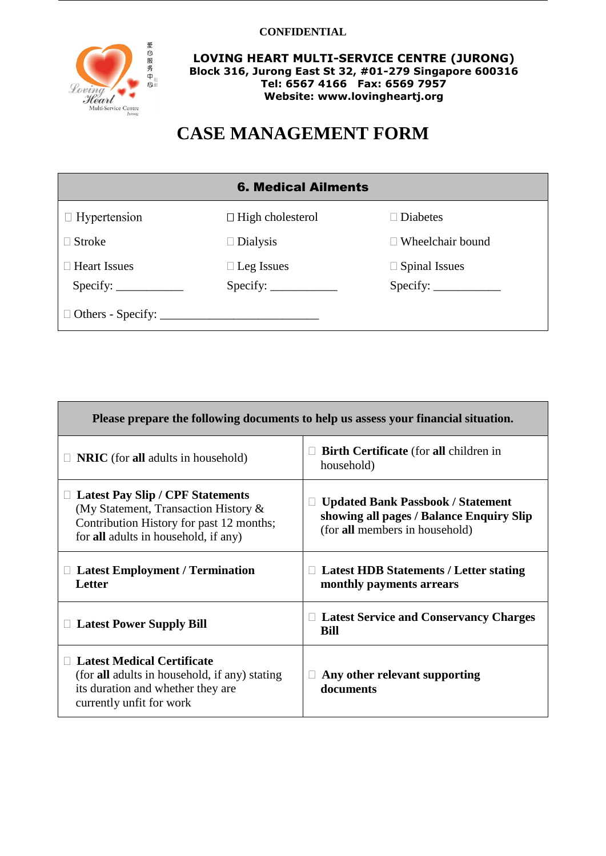

**LOVING HEART MULTI-SERVICE CENTRE (JURONG) Block 316, Jurong East St 32, #01-279 Singapore 600316 Tel: 6567 4166 Fax: 6569 7957 Website: www.lovingheartj.org**

# **CASE MANAGEMENT FORM**

| <b>6. Medical Ailments</b> |                                                                                                                                                                                                                                                                                                                                                                                                                                                                                                                                                                                                                     |                         |  |  |  |  |
|----------------------------|---------------------------------------------------------------------------------------------------------------------------------------------------------------------------------------------------------------------------------------------------------------------------------------------------------------------------------------------------------------------------------------------------------------------------------------------------------------------------------------------------------------------------------------------------------------------------------------------------------------------|-------------------------|--|--|--|--|
| $\Box$ Hypertension        | $\Box$ High cholesterol                                                                                                                                                                                                                                                                                                                                                                                                                                                                                                                                                                                             | $\Box$ Diabetes         |  |  |  |  |
| $\Box$ Stroke              | $\Box$ Dialysis                                                                                                                                                                                                                                                                                                                                                                                                                                                                                                                                                                                                     | $\Box$ Wheelchair bound |  |  |  |  |
| $\Box$ Heart Issues        | $\Box$ Leg Issues                                                                                                                                                                                                                                                                                                                                                                                                                                                                                                                                                                                                   | $\Box$ Spinal Issues    |  |  |  |  |
|                            | $\text{Specify:}\n\begin{array}{ccc}\n\overline{\text{Specify:}} \\ \overline{\text{Specify:}} \\ \overline{\text{Specify:}} \\ \overline{\text{Specify:}} \\ \overline{\text{Specify:}} \\ \overline{\text{Specify:}} \\ \overline{\text{Specify:}} \\ \overline{\text{Specify:}} \\ \overline{\text{Specify:}} \\ \overline{\text{Specify:}} \\ \overline{\text{Specify:}} \\ \overline{\text{Specify:}} \\ \overline{\text{Specify:}} \\ \overline{\text{Specify:}} \\ \overline{\text{Specify:}} \\ \overline{\text{Specify:}} \\ \overline{\text{Specify:}} \\ \overline{\text{Specify:}} \\ \overline{\text{$ |                         |  |  |  |  |
|                            |                                                                                                                                                                                                                                                                                                                                                                                                                                                                                                                                                                                                                     |                         |  |  |  |  |

| Please prepare the following documents to help us assess your financial situation.                                                                                  |                                                                                                                                  |  |  |  |
|---------------------------------------------------------------------------------------------------------------------------------------------------------------------|----------------------------------------------------------------------------------------------------------------------------------|--|--|--|
| <b>NRIC</b> (for all adults in household)                                                                                                                           | <b>Birth Certificate</b> (for all children in<br>household)                                                                      |  |  |  |
| <b>Latest Pay Slip / CPF Statements</b><br>(My Statement, Transaction History &<br>Contribution History for past 12 months;<br>for all adults in household, if any) | <b>Updated Bank Passbook / Statement</b><br>$\Box$<br>showing all pages / Balance Enquiry Slip<br>(for all members in household) |  |  |  |
| <b>Latest Employment / Termination</b><br><b>Letter</b>                                                                                                             | <b>Latest HDB Statements / Letter stating</b><br>monthly payments arrears                                                        |  |  |  |
| <b>Latest Power Supply Bill</b>                                                                                                                                     | <b>Latest Service and Conservancy Charges</b><br>Ц<br>Bill                                                                       |  |  |  |
| <b>Latest Medical Certificate</b><br>(for <b>all</b> adults in household, if any) stating<br>its duration and whether they are<br>currently unfit for work          | Any other relevant supporting<br>documents                                                                                       |  |  |  |